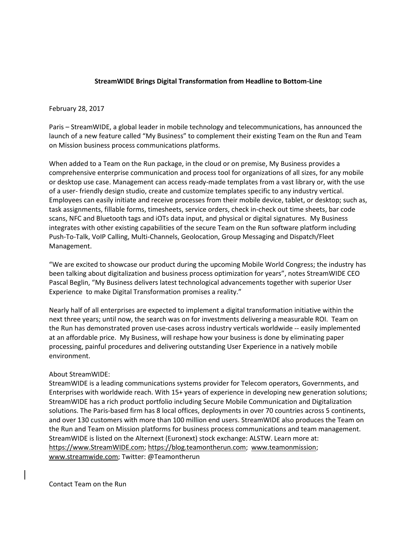## **StreamWIDE Brings Digital Transformation from Headline to Bottom-Line**

## February 28, 2017

Paris – StreamWIDE, a global leader in mobile technology and telecommunications, has announced the launch of a new feature called "My Business" to complement their existing Team on the Run and Team on Mission business process communications platforms.

When added to a Team on the Run package, in the cloud or on premise, My Business provides a comprehensive enterprise communication and process tool for organizations of all sizes, for any mobile or desktop use case. Management can access ready-made templates from a vast library or, with the use of a user- friendly design studio, create and customize templates specific to any industry vertical. Employees can easily initiate and receive processes from their mobile device, tablet, or desktop; such as, task assignments, fillable forms, timesheets, service orders, check in-check out time sheets, bar code scans, NFC and Bluetooth tags and iOTs data input, and physical or digital signatures. My Business integrates with other existing capabilities of the secure Team on the Run software platform including Push-To-Talk, VoIP Calling, Multi-Channels, Geolocation, Group Messaging and Dispatch/Fleet Management.

"We are excited to showcase our product during the upcoming Mobile World Congress; the industry has been talking about digitalization and business process optimization for years", notes StreamWIDE CEO Pascal Beglin, "My Business delivers latest technological advancements together with superior User Experience to make Digital Transformation promises a reality."

Nearly half of all enterprises are expected to implement a digital transformation initiative within the next three years; until now, the search was on for investments delivering a measurable ROI. Team on the Run has demonstrated proven use-cases across industry verticals worldwide -- easily implemented at an affordable price. My Business, will reshape how your business is done by eliminating paper processing, painful procedures and delivering outstanding User Experience in a natively mobile environment.

## About StreamWIDE:

StreamWIDE is a leading communications systems provider for Telecom operators, Governments, and Enterprises with worldwide reach. With 15+ years of experience in developing new generation solutions; StreamWIDE has a rich product portfolio including Secure Mobile Communication and Digitalization solutions. The Paris-based firm has 8 local offices, deployments in over 70 countries across 5 continents, and over 130 customers with more than 100 million end users. StreamWIDE also produces the Team on the Run and Team on Mission platforms for business process communications and team management. StreamWIDE is listed on the Alternext (Euronext) stock exchange: ALSTW. Learn more at: [https://www.StreamWIDE.com;](https://www.streamwide.com/) [https://blog.teamontherun.com;](https://blog.teamontherun.com/) [www.teamonmission;](http://www.teamonmission/) [www.streamwide.com;](http://www.streamwide.com/) Twitter: @Teamontherun

Contact Team on the Run